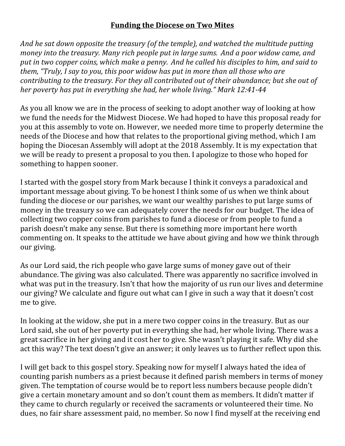## **Funding the Diocese on Two Mites**

*And he sat down opposite the treasury (of the temple), and watched the multitude putting money into the treasury.* Many rich people put in large sums. And a poor widow came, and put in two copper coins, which make a penny. And he called his disciples to him, and said to *them, "Truly, I say to you, this poor widow has put in more than all those who are contributing to the treasury. For they all contributed out of their abundance; but she out of her poverty has put in everything she had, her whole living." Mark 12:41-44* 

As you all know we are in the process of seeking to adopt another way of looking at how we fund the needs for the Midwest Diocese. We had hoped to have this proposal ready for you at this assembly to vote on. However, we needed more time to properly determine the needs of the Diocese and how that relates to the proportional giving method, which I am hoping the Diocesan Assembly will adopt at the 2018 Assembly. It is my expectation that we will be ready to present a proposal to you then. I apologize to those who hoped for something to happen sooner.

I started with the gospel story from Mark because I think it conveys a paradoxical and important message about giving. To be honest I think some of us when we think about funding the diocese or our parishes, we want our wealthy parishes to put large sums of money in the treasury so we can adequately cover the needs for our budget. The idea of collecting two copper coins from parishes to fund a diocese or from people to fund a parish doesn't make any sense. But there is something more important here worth commenting on. It speaks to the attitude we have about giving and how we think through our giving.

As our Lord said, the rich people who gave large sums of money gave out of their abundance. The giving was also calculated. There was apparently no sacrifice involved in what was put in the treasury. Isn't that how the majority of us run our lives and determine our giving? We calculate and figure out what can I give in such a way that it doesn't cost me to give.

In looking at the widow, she put in a mere two copper coins in the treasury. But as our Lord said, she out of her poverty put in everything she had, her whole living. There was a great sacrifice in her giving and it cost her to give. She wasn't playing it safe. Why did she act this way? The text doesn't give an answer; it only leaves us to further reflect upon this.

I will get back to this gospel story. Speaking now for myself I always hated the idea of counting parish numbers as a priest because it defined parish members in terms of money given. The temptation of course would be to report less numbers because people didn't give a certain monetary amount and so don't count them as members. It didn't matter if they came to church regularly or received the sacraments or volunteered their time. No dues, no fair share assessment paid, no member. So now I find myself at the receiving end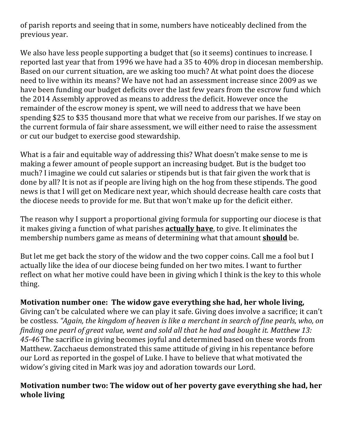of parish reports and seeing that in some, numbers have noticeably declined from the previous year.

We also have less people supporting a budget that (so it seems) continues to increase. I reported last year that from 1996 we have had a 35 to 40% drop in diocesan membership. Based on our current situation, are we asking too much? At what point does the diocese need to live within its means? We have not had an assessment increase since 2009 as we have been funding our budget deficits over the last few years from the escrow fund which the 2014 Assembly approved as means to address the deficit. However once the remainder of the escrow money is spent, we will need to address that we have been spending \$25 to \$35 thousand more that what we receive from our parishes. If we stay on the current formula of fair share assessment, we will either need to raise the assessment or cut our budget to exercise good stewardship.

What is a fair and equitable way of addressing this? What doesn't make sense to me is making a fewer amount of people support an increasing budget. But is the budget too much? I imagine we could cut salaries or stipends but is that fair given the work that is done by all? It is not as if people are living high on the hog from these stipends. The good news is that I will get on Medicare next year, which should decrease health care costs that the diocese needs to provide for me. But that won't make up for the deficit either.

The reason why I support a proportional giving formula for supporting our diocese is that it makes giving a function of what parishes **actually have**, to give. It eliminates the membership numbers game as means of determining what that amount **should** be.

But let me get back the story of the widow and the two copper coins. Call me a fool but I actually like the idea of our diocese being funded on her two mites. I want to further reflect on what her motive could have been in giving which I think is the key to this whole thing.

## **Motivation number one: The widow gave everything she had, her whole living,**

Giving can't be calculated where we can play it safe. Giving does involve a sacrifice; it can't be costless. "Again, the kingdom of heaven is like a merchant in search of fine pearls, who, on *finding one pearl of great value, went and sold all that he had and bought it. Matthew 13:* 45-46 The sacrifice in giving becomes joyful and determined based on these words from Matthew. Zacchaeus demonstrated this same attitude of giving in his repentance before our Lord as reported in the gospel of Luke. I have to believe that what motivated the widow's giving cited in Mark was joy and adoration towards our Lord.

## **Motivation number two: The widow out of her poverty gave everything she had, her whole living**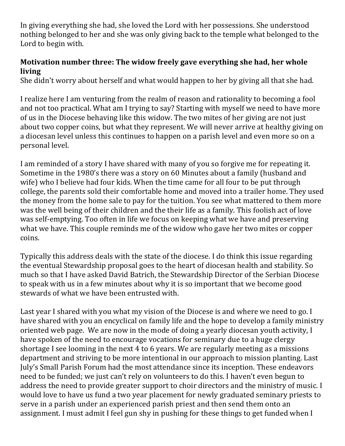In giving everything she had, she loved the Lord with her possessions. She understood nothing belonged to her and she was only giving back to the temple what belonged to the Lord to begin with.

## **Motivation number three: The widow freely gave everything she had, her whole living**

She didn't worry about herself and what would happen to her by giving all that she had.

I realize here I am venturing from the realm of reason and rationality to becoming a fool and not too practical. What am I trying to say? Starting with myself we need to have more of us in the Diocese behaving like this widow. The two mites of her giving are not just about two copper coins, but what they represent. We will never arrive at healthy giving on a diocesan level unless this continues to happen on a parish level and even more so on a personal level.

I am reminded of a story I have shared with many of you so forgive me for repeating it. Sometime in the 1980's there was a story on 60 Minutes about a family (husband and wife) who I believe had four kids. When the time came for all four to be put through college, the parents sold their comfortable home and moved into a trailer home. They used the money from the home sale to pay for the tuition. You see what mattered to them more was the well being of their children and the their life as a family. This foolish act of love was self-emptying. Too often in life we focus on keeping what we have and preserving what we have. This couple reminds me of the widow who gave her two mites or copper coins.

Typically this address deals with the state of the diocese. I do think this issue regarding the eventual Stewardship proposal goes to the heart of diocesan health and stability. So much so that I have asked David Batrich, the Stewardship Director of the Serbian Diocese to speak with us in a few minutes about why it is so important that we become good stewards of what we have been entrusted with.

Last year I shared with you what my vision of the Diocese is and where we need to go. I have shared with you an encyclical on family life and the hope to develop a family ministry oriented web page. We are now in the mode of doing a yearly diocesan youth activity, I have spoken of the need to encourage vocations for seminary due to a huge clergy shortage I see looming in the next 4 to 6 years. We are regularly meeting as a missions department and striving to be more intentional in our approach to mission planting. Last July's Small Parish Forum had the most attendance since its inception. These endeavors need to be funded; we just can't rely on volunteers to do this. I haven't even begun to address the need to provide greater support to choir directors and the ministry of music. I would love to have us fund a two year placement for newly graduated seminary priests to serve in a parish under an experienced parish priest and then send them onto an assignment. I must admit I feel gun shy in pushing for these things to get funded when I